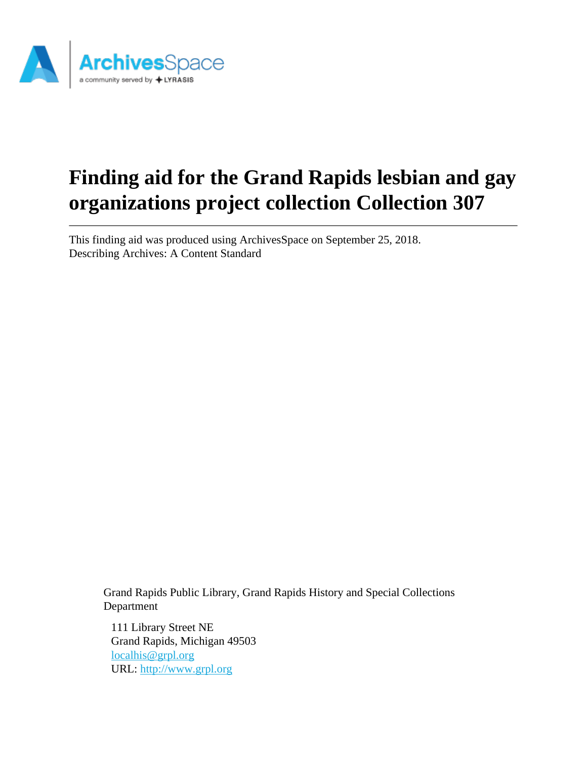

# **Finding aid for the Grand Rapids lesbian and gay organizations project collection Collection 307**

This finding aid was produced using ArchivesSpace on September 25, 2018. Describing Archives: A Content Standard

Grand Rapids Public Library, Grand Rapids History and Special Collections Department

111 Library Street NE Grand Rapids, Michigan 49503 [localhis@grpl.org](mailto:localhis@grpl.org) URL:<http://www.grpl.org>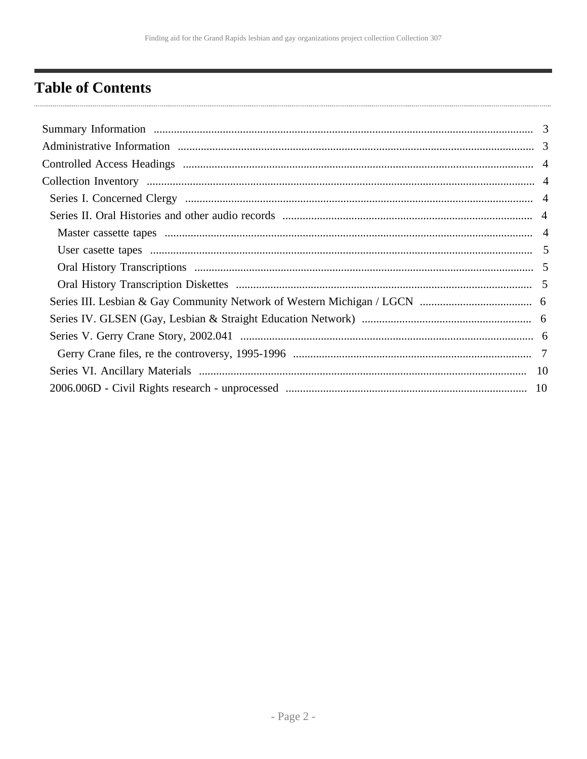# <span id="page-1-0"></span>**Table of Contents**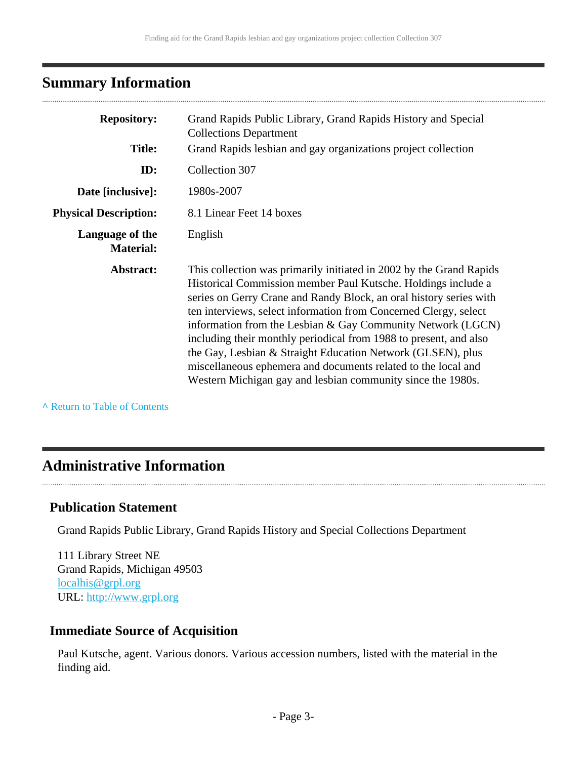# <span id="page-2-0"></span>**Summary Information**

| <b>Repository:</b><br><b>Title:</b> | Grand Rapids Public Library, Grand Rapids History and Special<br><b>Collections Department</b><br>Grand Rapids lesbian and gay organizations project collection                                                                                                                                                                                                                                                                                                                                                                                                                                                   |
|-------------------------------------|-------------------------------------------------------------------------------------------------------------------------------------------------------------------------------------------------------------------------------------------------------------------------------------------------------------------------------------------------------------------------------------------------------------------------------------------------------------------------------------------------------------------------------------------------------------------------------------------------------------------|
|                                     |                                                                                                                                                                                                                                                                                                                                                                                                                                                                                                                                                                                                                   |
| ID:                                 | Collection 307                                                                                                                                                                                                                                                                                                                                                                                                                                                                                                                                                                                                    |
| Date [inclusive]:                   | 1980s-2007                                                                                                                                                                                                                                                                                                                                                                                                                                                                                                                                                                                                        |
| <b>Physical Description:</b>        | 8.1 Linear Feet 14 boxes                                                                                                                                                                                                                                                                                                                                                                                                                                                                                                                                                                                          |
| Language of the<br><b>Material:</b> | English                                                                                                                                                                                                                                                                                                                                                                                                                                                                                                                                                                                                           |
| Abstract:                           | This collection was primarily initiated in 2002 by the Grand Rapids<br>Historical Commission member Paul Kutsche. Holdings include a<br>series on Gerry Crane and Randy Block, an oral history series with<br>ten interviews, select information from Concerned Clergy, select<br>information from the Lesbian & Gay Community Network (LGCN)<br>including their monthly periodical from 1988 to present, and also<br>the Gay, Lesbian & Straight Education Network (GLSEN), plus<br>miscellaneous ephemera and documents related to the local and<br>Western Michigan gay and lesbian community since the 1980s. |

**^** [Return to Table of Contents](#page-1-0)

### <span id="page-2-1"></span>**Administrative Information**

### **Publication Statement**

Grand Rapids Public Library, Grand Rapids History and Special Collections Department

111 Library Street NE Grand Rapids, Michigan 49503 [localhis@grpl.org](mailto:localhis@grpl.org) URL:<http://www.grpl.org>

### **Immediate Source of Acquisition**

Paul Kutsche, agent. Various donors. Various accession numbers, listed with the material in the finding aid.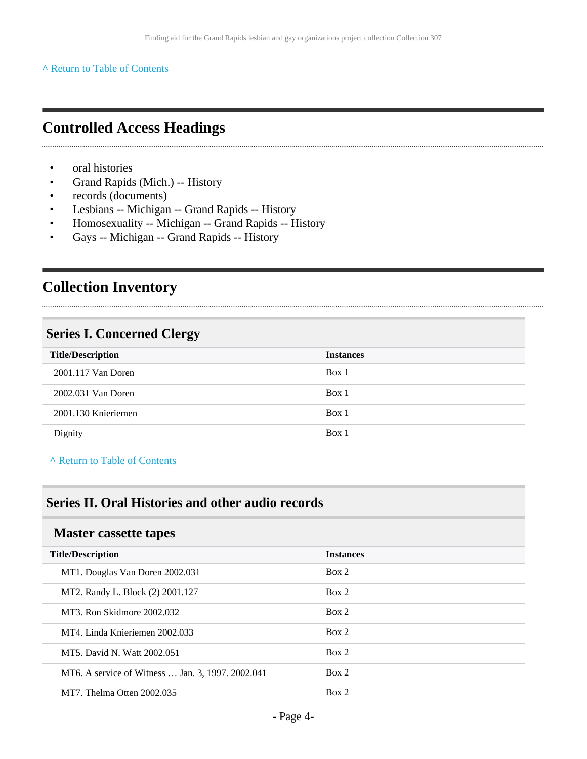#### **^** [Return to Table of Contents](#page-1-0)

# <span id="page-3-0"></span>**Controlled Access Headings**

- oral histories
- Grand Rapids (Mich.) -- History
- records (documents)
- Lesbians -- Michigan -- Grand Rapids -- History
- Homosexuality -- Michigan -- Grand Rapids -- History
- Gays -- Michigan -- Grand Rapids -- History

# <span id="page-3-1"></span>**Collection Inventory**

### <span id="page-3-2"></span>**Series I. Concerned Clergy**

| <b>Title/Description</b> | <b>Instances</b> |
|--------------------------|------------------|
| 2001.117 Van Doren       | Box 1            |
| 2002.031 Van Doren       | Box 1            |
| 2001.130 Knieriemen      | Box 1            |
| Dignity                  | Box 1            |

**^** [Return to Table of Contents](#page-1-0)

### <span id="page-3-3"></span>**Series II. Oral Histories and other audio records**

#### <span id="page-3-4"></span>**Master cassette tapes**

| <b>Title/Description</b>                          | <b>Instances</b> |
|---------------------------------------------------|------------------|
| MT1. Douglas Van Doren 2002.031                   | Box 2            |
| MT2. Randy L. Block (2) 2001.127                  | Box 2            |
| MT3. Ron Skidmore 2002.032                        | Box 2            |
| MT4. Linda Knieriemen 2002.033                    | Box 2            |
| MT5. David N. Watt 2002.051                       | Box 2            |
| MT6. A service of Witness  Jan. 3, 1997. 2002.041 | Box 2            |
| MT7. Thelma Otten 2002.035                        | Box 2            |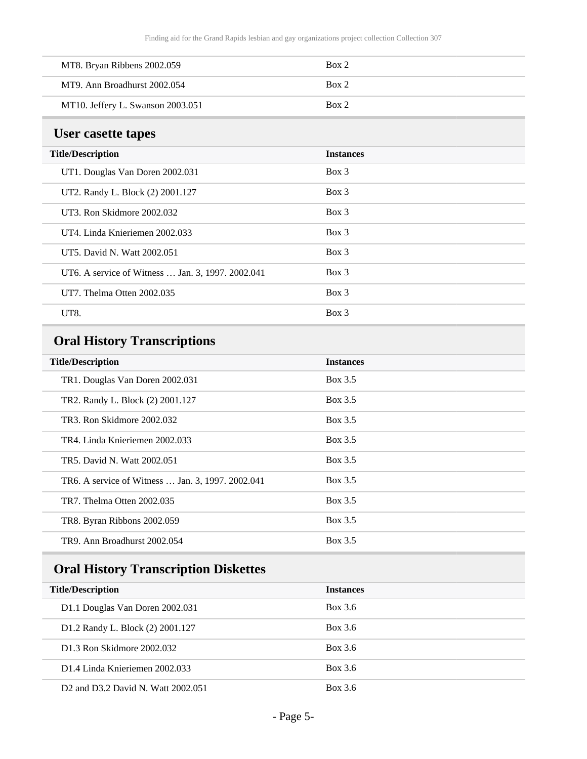| MT8. Bryan Ribbens 2002.059       | Box 2 |
|-----------------------------------|-------|
| MT9. Ann Broadhurst 2002.054      | Box 2 |
| MT10. Jeffery L. Swanson 2003.051 | Box 2 |

# <span id="page-4-0"></span>**User casette tapes**

| <b>Title/Description</b>                          | <b>Instances</b> |
|---------------------------------------------------|------------------|
| UT1. Douglas Van Doren 2002.031                   | $Box$ 3          |
| UT2. Randy L. Block (2) 2001.127                  | $Box$ 3          |
| UT3. Ron Skidmore 2002.032                        | $Box$ 3          |
| UT4. Linda Knieriemen 2002.033                    | $Box$ 3          |
| UT5. David N. Watt 2002.051                       | $Box$ 3          |
| UT6. A service of Witness  Jan. 3, 1997. 2002.041 | $Box$ 3          |
| UT7. Thelma Otten 2002.035                        | $Box$ 3          |
| UT8.                                              | $Box$ 3          |

# <span id="page-4-1"></span>**Oral History Transcriptions**

| <b>Title/Description</b>                          | <b>Instances</b> |
|---------------------------------------------------|------------------|
| TR1. Douglas Van Doren 2002.031                   | Box 3.5          |
| TR2. Randy L. Block (2) 2001.127                  | Box 3.5          |
| TR3. Ron Skidmore 2002.032                        | Box 3.5          |
| TR4. Linda Knieriemen 2002.033                    | Box 3.5          |
| TR5. David N. Watt 2002.051                       | Box 3.5          |
| TR6. A service of Witness  Jan. 3, 1997. 2002.041 | Box 3.5          |
| TR7. Thelma Otten 2002.035                        | Box 3.5          |
| TR8. Byran Ribbons 2002.059                       | Box 3.5          |
| TR9. Ann Broadhurst 2002.054                      | Box 3.5          |

# <span id="page-4-2"></span>**Oral History Transcription Diskettes**

| <b>Title/Description</b>                                    | <b>Instances</b> |
|-------------------------------------------------------------|------------------|
| D1.1 Douglas Van Doren 2002.031                             | Box 3.6          |
| D1.2 Randy L. Block (2) 2001.127                            | Box 3.6          |
| D1.3 Ron Skidmore 2002.032                                  | Box 3.6          |
| D1.4 Linda Knieriemen 2002.033                              | Box 3.6          |
| D <sub>2</sub> and D <sub>3</sub> .2 David N. Watt 2002.051 | Box 3.6          |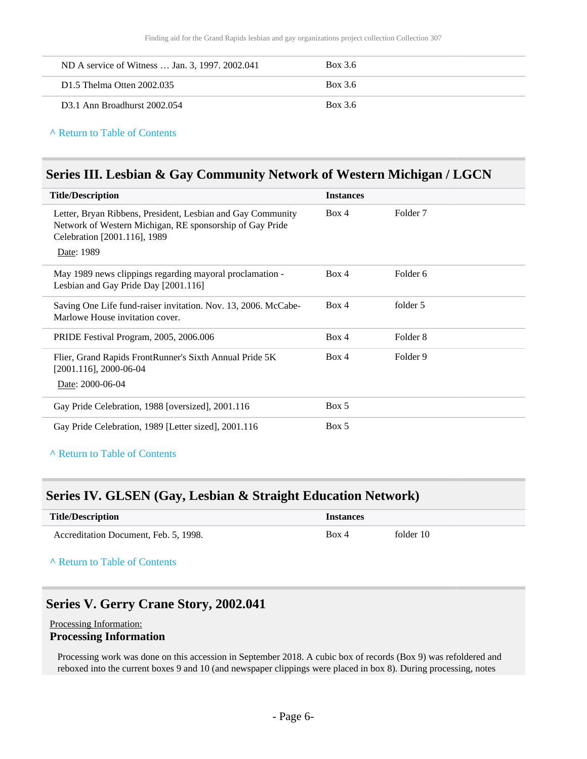| ND A service of Witness  Jan. 3, 1997. 2002.041 | Box 3.6 |
|-------------------------------------------------|---------|
| D <sub>1.5</sub> Thelma Otten 2002.035          | Box 3.6 |
| D <sub>3</sub> .1 Ann Broadhurst 2002.054       | Box 3.6 |

#### **^** [Return to Table of Contents](#page-1-0)

### <span id="page-5-0"></span>**Series III. Lesbian & Gay Community Network of Western Michigan / LGCN**

| <b>Title/Description</b>                                                                                                                                              | <b>Instances</b> |          |
|-----------------------------------------------------------------------------------------------------------------------------------------------------------------------|------------------|----------|
| Letter, Bryan Ribbens, President, Lesbian and Gay Community<br>Network of Western Michigan, RE sponsorship of Gay Pride<br>Celebration [2001.116], 1989<br>Date: 1989 | Box 4            | Folder 7 |
| May 1989 news clippings regarding mayoral proclamation -<br>Lesbian and Gay Pride Day [2001.116]                                                                      | Box 4            | Folder 6 |
| Saving One Life fund-raiser invitation. Nov. 13, 2006. McCabe-<br>Marlowe House invitation cover.                                                                     | Box 4            | folder 5 |
| PRIDE Festival Program, 2005, 2006.006                                                                                                                                | Box 4            | Folder 8 |
| Flier, Grand Rapids FrontRunner's Sixth Annual Pride 5K<br>$[2001.116]$ , 2000-06-04<br>Date: 2000-06-04                                                              | Box 4            | Folder 9 |
| Gay Pride Celebration, 1988 [oversized], 2001.116                                                                                                                     | Box 5            |          |
| Gay Pride Celebration, 1989 [Letter sized], 2001.116                                                                                                                  | Box 5            |          |

#### **^** [Return to Table of Contents](#page-1-0)

### <span id="page-5-1"></span>**Series IV. GLSEN (Gay, Lesbian & Straight Education Network)**

| <b>Title/Description</b>              | <b>Instances</b> |           |
|---------------------------------------|------------------|-----------|
| Accreditation Document, Feb. 5, 1998. | Box 4            | folder 10 |

#### **^** [Return to Table of Contents](#page-1-0)

### <span id="page-5-2"></span>**Series V. Gerry Crane Story, 2002.041**

#### Processing Information: **Processing Information**

Processing work was done on this accession in September 2018. A cubic box of records (Box 9) was refoldered and reboxed into the current boxes 9 and 10 (and newspaper clippings were placed in box 8). During processing, notes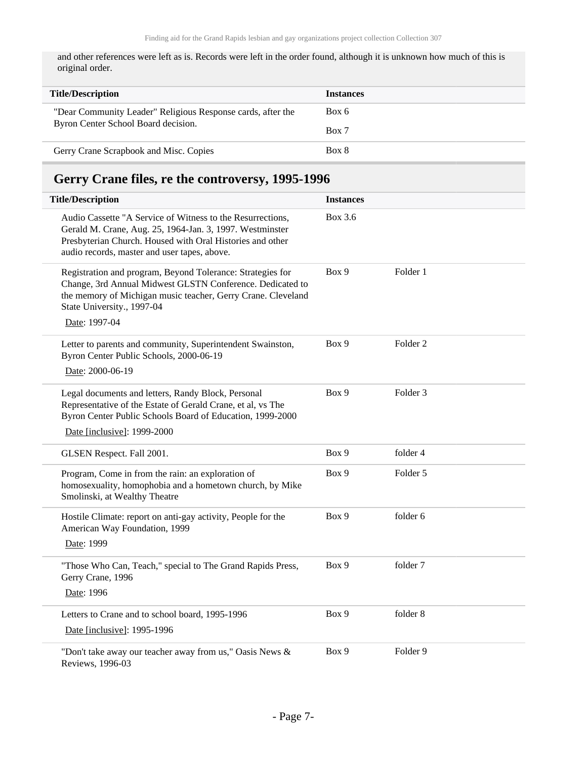and other references were left as is. Records were left in the order found, although it is unknown how much of this is original order.

| <b>Title/Description</b>                                    | <b>Instances</b> |
|-------------------------------------------------------------|------------------|
| "Dear Community Leader" Religious Response cards, after the | Box 6            |
| Byron Center School Board decision.                         | Box 7            |
| Gerry Crane Scrapbook and Misc. Copies                      | Box 8            |

# <span id="page-6-0"></span>**Gerry Crane files, re the controversy, 1995-1996**

| <b>Title/Description</b>                                                                                                                                                                                                               | <b>Instances</b> |                     |  |
|----------------------------------------------------------------------------------------------------------------------------------------------------------------------------------------------------------------------------------------|------------------|---------------------|--|
| Audio Cassette "A Service of Witness to the Resurrections,<br>Gerald M. Crane, Aug. 25, 1964-Jan. 3, 1997. Westminster<br>Presbyterian Church. Housed with Oral Histories and other<br>audio records, master and user tapes, above.    | <b>Box 3.6</b>   |                     |  |
| Registration and program, Beyond Tolerance: Strategies for<br>Change, 3rd Annual Midwest GLSTN Conference. Dedicated to<br>the memory of Michigan music teacher, Gerry Crane. Cleveland<br>State University., 1997-04<br>Date: 1997-04 | Box 9            | Folder 1            |  |
| Letter to parents and community, Superintendent Swainston,<br>Byron Center Public Schools, 2000-06-19<br>Date: 2000-06-19                                                                                                              | Box 9            | Folder <sub>2</sub> |  |
| Legal documents and letters, Randy Block, Personal<br>Representative of the Estate of Gerald Crane, et al, vs The<br>Byron Center Public Schools Board of Education, 1999-2000<br>Date [inclusive]: 1999-2000                          | Box 9            | Folder 3            |  |
| GLSEN Respect. Fall 2001.                                                                                                                                                                                                              | Box 9            | folder 4            |  |
| Program, Come in from the rain: an exploration of<br>homosexuality, homophobia and a hometown church, by Mike<br>Smolinski, at Wealthy Theatre                                                                                         | Box 9            | Folder 5            |  |
| Hostile Climate: report on anti-gay activity, People for the<br>American Way Foundation, 1999<br>Date: 1999                                                                                                                            | Box 9            | folder 6            |  |
| "Those Who Can, Teach," special to The Grand Rapids Press,<br>Gerry Crane, 1996<br>Date: 1996                                                                                                                                          | Box 9            | folder 7            |  |
| Letters to Crane and to school board, 1995-1996<br>Date [inclusive]: 1995-1996                                                                                                                                                         | Box 9            | folder 8            |  |
| "Don't take away our teacher away from us," Oasis News &<br>Reviews, 1996-03                                                                                                                                                           | Box 9            | Folder 9            |  |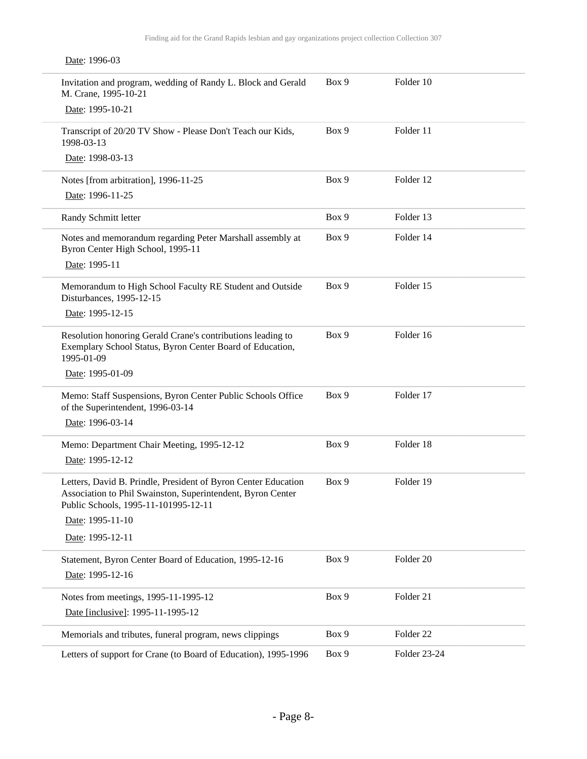| Date: 1996-03                                                                                                                                                         |       |                      |
|-----------------------------------------------------------------------------------------------------------------------------------------------------------------------|-------|----------------------|
| Invitation and program, wedding of Randy L. Block and Gerald<br>M. Crane, 1995-10-21                                                                                  | Box 9 | Folder 10            |
| Date: 1995-10-21                                                                                                                                                      |       |                      |
| Transcript of 20/20 TV Show - Please Don't Teach our Kids,<br>1998-03-13                                                                                              | Box 9 | Folder 11            |
| Date: 1998-03-13                                                                                                                                                      |       |                      |
| Notes [from arbitration], 1996-11-25                                                                                                                                  | Box 9 | Folder 12            |
| Date: 1996-11-25                                                                                                                                                      |       |                      |
| Randy Schmitt letter                                                                                                                                                  | Box 9 | Folder 13            |
| Notes and memorandum regarding Peter Marshall assembly at<br>Byron Center High School, 1995-11                                                                        | Box 9 | Folder 14            |
| Date: 1995-11                                                                                                                                                         |       |                      |
| Memorandum to High School Faculty RE Student and Outside<br>Disturbances, 1995-12-15                                                                                  | Box 9 | Folder 15            |
| Date: 1995-12-15                                                                                                                                                      |       |                      |
| Resolution honoring Gerald Crane's contributions leading to<br>Exemplary School Status, Byron Center Board of Education,<br>1995-01-09                                | Box 9 | Folder 16            |
| Date: 1995-01-09                                                                                                                                                      |       |                      |
| Memo: Staff Suspensions, Byron Center Public Schools Office<br>of the Superintendent, 1996-03-14                                                                      | Box 9 | Folder 17            |
| Date: 1996-03-14                                                                                                                                                      |       |                      |
| Memo: Department Chair Meeting, 1995-12-12                                                                                                                            | Box 9 | Folder 18            |
| Date: 1995-12-12                                                                                                                                                      |       |                      |
| Letters, David B. Prindle, President of Byron Center Education<br>Association to Phil Swainston, Superintendent, Byron Center<br>Public Schools, 1995-11-101995-12-11 | Box 9 | Folder 19            |
| Date: 1995-11-10                                                                                                                                                      |       |                      |
| Date: 1995-12-11                                                                                                                                                      |       |                      |
| Statement, Byron Center Board of Education, 1995-12-16<br>Date: 1995-12-16                                                                                            | Box 9 | Folder 20            |
| Notes from meetings, 1995-11-1995-12                                                                                                                                  | Box 9 | Folder 21            |
| Date [inclusive]: 1995-11-1995-12                                                                                                                                     |       |                      |
| Memorials and tributes, funeral program, news clippings                                                                                                               | Box 9 | Folder <sub>22</sub> |
| Letters of support for Crane (to Board of Education), 1995-1996                                                                                                       | Box 9 | Folder 23-24         |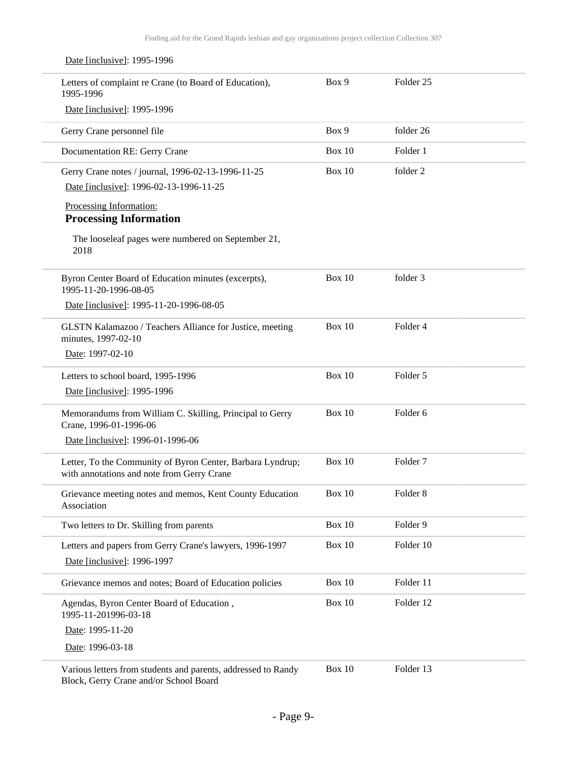| Date [inclusive]: 1995-1996                                                                              |               |                      |
|----------------------------------------------------------------------------------------------------------|---------------|----------------------|
| Letters of complaint re Crane (to Board of Education),<br>1995-1996                                      | Box 9         | Folder <sub>25</sub> |
| Date [inclusive]: 1995-1996                                                                              |               |                      |
| Gerry Crane personnel file                                                                               | Box 9         | folder 26            |
| Documentation RE: Gerry Crane                                                                            | Box $10$      | Folder 1             |
| Gerry Crane notes / journal, 1996-02-13-1996-11-25                                                       | Box $10$      | folder 2             |
| Date [inclusive]: 1996-02-13-1996-11-25                                                                  |               |                      |
| Processing Information:                                                                                  |               |                      |
| <b>Processing Information</b>                                                                            |               |                      |
| The looseleaf pages were numbered on September 21,<br>2018                                               |               |                      |
| Byron Center Board of Education minutes (excerpts),<br>1995-11-20-1996-08-05                             | <b>Box 10</b> | folder 3             |
| Date [inclusive]: 1995-11-20-1996-08-05                                                                  |               |                      |
| GLSTN Kalamazoo / Teachers Alliance for Justice, meeting<br>minutes, 1997-02-10                          | <b>Box 10</b> | Folder 4             |
| Date: 1997-02-10                                                                                         |               |                      |
| Letters to school board, 1995-1996                                                                       | <b>Box 10</b> | Folder 5             |
| Date [inclusive]: 1995-1996                                                                              |               |                      |
| Memorandums from William C. Skilling, Principal to Gerry<br>Crane, 1996-01-1996-06                       | <b>Box 10</b> | Folder 6             |
| Date [inclusive]: 1996-01-1996-06                                                                        |               |                      |
| Letter, To the Community of Byron Center, Barbara Lyndrup;<br>with annotations and note from Gerry Crane | <b>Box 10</b> | Folder <sub>7</sub>  |
| Grievance meeting notes and memos, Kent County Education<br>Association                                  | <b>Box 10</b> | Folder 8             |
| Two letters to Dr. Skilling from parents                                                                 | <b>Box 10</b> | Folder 9             |
| Letters and papers from Gerry Crane's lawyers, 1996-1997                                                 | <b>Box 10</b> | Folder 10            |
| Date [inclusive]: 1996-1997                                                                              |               |                      |
| Grievance memos and notes; Board of Education policies                                                   | <b>Box 10</b> | Folder 11            |
| Agendas, Byron Center Board of Education,<br>1995-11-201996-03-18                                        | <b>Box 10</b> | Folder 12            |
| Date: 1995-11-20                                                                                         |               |                      |
| Date: 1996-03-18                                                                                         |               |                      |
| Various letters from students and parents, addressed to Randy                                            | <b>Box 10</b> | Folder 13            |

Block, Gerry Crane and/or School Board